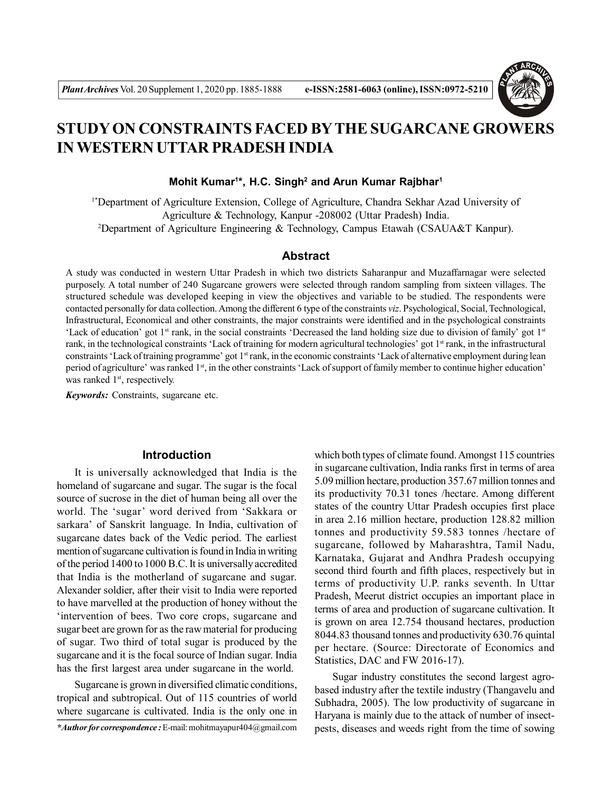

# **STUDY ON CONSTRAINTS FACED BYTHE SUGARCANE GROWERS IN WESTERN UTTAR PRADESH INDIA**

**Mohit Kumar<sup>1</sup> \*, H.C. Singh<sup>2</sup> and Arun Kumar Rajbhar<sup>1</sup>**

1\*Department of Agriculture Extension, College of Agriculture, Chandra Sekhar Azad University of Agriculture & Technology, Kanpur -208002 (Uttar Pradesh) India. <sup>2</sup>Department of Agriculture Engineering & Technology, Campus Etawah (CSAUA&T Kanpur).

## **Abstract**

A study was conducted in western Uttar Pradesh in which two districts Saharanpur and Muzaffarnagar were selected purposely. A total number of 240 Sugarcane growers were selected through random sampling from sixteen villages. The structured schedule was developed keeping in view the objectives and variable to be studied. The respondents were contacted personally for data collection. Among the different 6 type of the constraints *viz*. Psychological, Social, Technological, Infrastructural, Economical and other constraints, the major constraints were identified and in the psychological constraints 'Lack of education' got 1<sup>st</sup> rank, in the social constraints 'Decreased the land holding size due to division of family' got 1<sup>st</sup> rank, in the technological constraints 'Lack of training for modern agricultural technologies' got 1<sup>st</sup> rank, in the infrastructural constraints 'Lack of training programme' got 1<sup>st</sup> rank, in the economic constraints 'Lack of alternative employment during lean period of agriculture' was ranked 1<sup>st</sup>, in the other constraints 'Lack of support of family member to continue higher education' was ranked 1<sup>st</sup>, respectively.

*Keywords:* Constraints, sugarcane etc.

# **Introduction**

It is universally acknowledged that India is the homeland of sugarcane and sugar. The sugar is the focal source of sucrose in the diet of human being all over the world. The 'sugar' word derived from 'Sakkara or sarkara' of Sanskrit language. In India, cultivation of sugarcane dates back of the Vedic period. The earliest mention of sugarcane cultivation is found in India in writing of the period 1400 to 1000 B.C. It is universally accredited that India is the motherland of sugarcane and sugar. Alexander soldier, after their visit to India were reported to have marvelled at the production of honey without the 'intervention of bees. Two core crops, sugarcane and sugar beet are grown for as the raw material for producing of sugar. Two third of total sugar is produced by the sugarcane and it is the focal source of Indian sugar. India has the first largest area under sugarcane in the world.

Sugarcane is grown in diversified climatic conditions, tropical and subtropical. Out of 115 countries of world where sugarcane is cultivated. India is the only one in

*\*Author for correspondence :* E-mail: mohitmayapur404@gmail.com

which both types of climate found. Amongst 115 countries in sugarcane cultivation, India ranks first in terms of area 5.09 million hectare, production 357.67 million tonnes and its productivity 70.31 tones /hectare. Among different states of the country Uttar Pradesh occupies first place in area 2.16 million hectare, production 128.82 million tonnes and productivity 59.583 tonnes /hectare of sugarcane, followed by Maharashtra, Tamil Nadu, Karnataka, Gujarat and Andhra Pradesh occupying second third fourth and fifth places, respectively but in terms of productivity U.P. ranks seventh. In Uttar Pradesh, Meerut district occupies an important place in terms of area and production of sugarcane cultivation. It is grown on area 12.754 thousand hectares, production 8044.83 thousand tonnes and productivity 630.76 quintal per hectare. (Source: Directorate of Economics and Statistics, DAC and FW 2016-17).

Sugar industry constitutes the second largest agrobased industry after the textile industry (Thangavelu and Subhadra, 2005). The low productivity of sugarcane in Haryana is mainly due to the attack of number of insectpests, diseases and weeds right from the time of sowing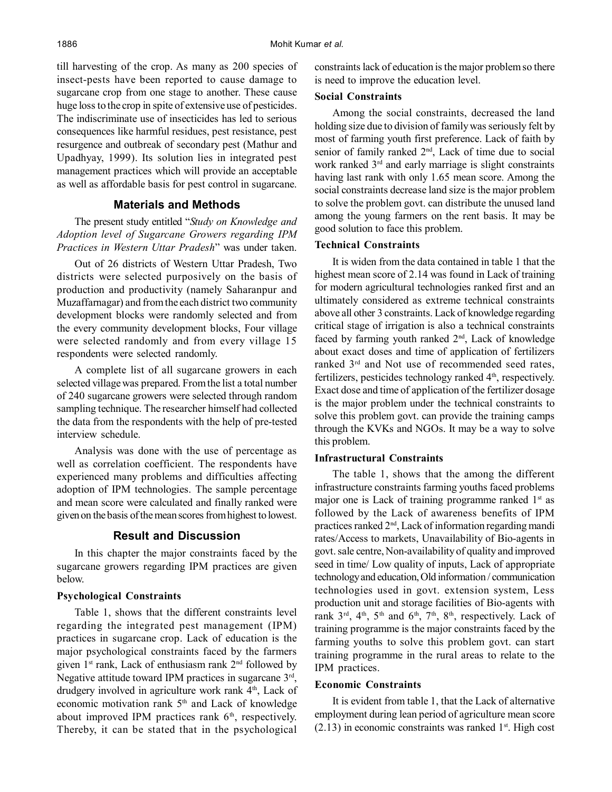till harvesting of the crop. As many as 200 species of insect-pests have been reported to cause damage to sugarcane crop from one stage to another. These cause huge loss to the crop in spite of extensive use of pesticides. The indiscriminate use of insecticides has led to serious consequences like harmful residues, pest resistance, pest resurgence and outbreak of secondary pest (Mathur and Upadhyay, 1999). Its solution lies in integrated pest management practices which will provide an acceptable as well as affordable basis for pest control in sugarcane.

# **Materials and Methods**

The present study entitled "*Study on Knowledge and Adoption level of Sugarcane Growers regarding IPM Practices in Western Uttar Pradesh*" was under taken.

Out of 26 districts of Western Uttar Pradesh, Two districts were selected purposively on the basis of production and productivity (namely Saharanpur and Muzaffarnagar) and from the each district two community development blocks were randomly selected and from the every community development blocks, Four village were selected randomly and from every village 15 respondents were selected randomly.

A complete list of all sugarcane growers in each selected village was prepared. From the list a total number of 240 sugarcane growers were selected through random sampling technique. The researcher himself had collected the data from the respondents with the help of pre-tested interview schedule.

Analysis was done with the use of percentage as well as correlation coefficient. The respondents have experienced many problems and difficulties affecting adoption of IPM technologies. The sample percentage and mean score were calculated and finally ranked were given on the basis of the mean scores from highest to lowest.

## **Result and Discussion**

In this chapter the major constraints faced by the sugarcane growers regarding IPM practices are given below.

#### **Psychological Constraints**

Table 1, shows that the different constraints level regarding the integrated pest management (IPM) practices in sugarcane crop. Lack of education is the major psychological constraints faced by the farmers given 1<sup>st</sup> rank, Lack of enthusiasm rank 2<sup>nd</sup> followed by Negative attitude toward IPM practices in sugarcane 3<sup>rd</sup>, drudgery involved in agriculture work rank  $4<sup>th</sup>$ , Lack of economic motivation rank 5<sup>th</sup> and Lack of knowledge about improved IPM practices rank  $6<sup>th</sup>$ , respectively. Thereby, it can be stated that in the psychological

constraints lack of education is the major problem so there is need to improve the education level.

#### **Social Constraints**

Among the social constraints, decreased the land holding size due to division of family was seriously felt by most of farming youth first preference. Lack of faith by senior of family ranked  $2<sup>nd</sup>$ , Lack of time due to social work ranked 3<sup>rd</sup> and early marriage is slight constraints having last rank with only 1.65 mean score. Among the social constraints decrease land size is the major problem to solve the problem govt. can distribute the unused land among the young farmers on the rent basis. It may be good solution to face this problem.

## **Technical Constraints**

It is widen from the data contained in table 1 that the highest mean score of 2.14 was found in Lack of training for modern agricultural technologies ranked first and an ultimately considered as extreme technical constraints above all other 3 constraints. Lack of knowledge regarding critical stage of irrigation is also a technical constraints faced by farming youth ranked  $2<sup>nd</sup>$ , Lack of knowledge about exact doses and time of application of fertilizers ranked 3rd and Not use of recommended seed rates, fertilizers, pesticides technology ranked  $4<sup>th</sup>$ , respectively. Exact dose and time of application of the fertilizer dosage is the major problem under the technical constraints to solve this problem govt. can provide the training camps through the KVKs and NGOs. It may be a way to solve this problem.

## **Infrastructural Constraints**

The table 1, shows that the among the different infrastructure constraints farming youths faced problems major one is Lack of training programme ranked  $1<sup>st</sup>$  as followed by the Lack of awareness benefits of IPM practices ranked 2nd, Lack of information regarding mandi rates/Access to markets, Unavailability of Bio-agents in govt. sale centre, Non-availability of quality and improved seed in time/ Low quality of inputs, Lack of appropriate technology and education, Old information / communication technologies used in govt. extension system, Less production unit and storage facilities of Bio-agents with rank  $3<sup>rd</sup>$ ,  $4<sup>th</sup>$ ,  $5<sup>th</sup>$  and  $6<sup>th</sup>$ ,  $7<sup>th</sup>$ ,  $8<sup>th</sup>$ , respectively. Lack of training programme is the major constraints faced by the farming youths to solve this problem govt. can start training programme in the rural areas to relate to the IPM practices.

#### **Economic Constraints**

It is evident from table 1, that the Lack of alternative employment during lean period of agriculture mean score  $(2.13)$  in economic constraints was ranked 1<sup>st</sup>. High cost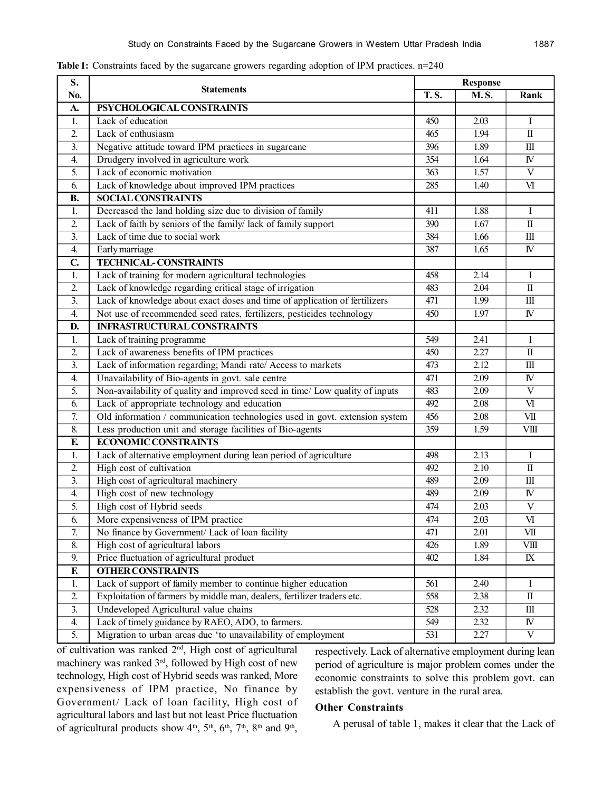| S.               |                                                                              | <b>Response</b> |             |                         |
|------------------|------------------------------------------------------------------------------|-----------------|-------------|-------------------------|
| No.              | <b>Statements</b>                                                            | <b>T.S.</b>     | <b>M.S.</b> | Rank                    |
| A.               | PSYCHOLOGICAL CONSTRAINTS                                                    |                 |             |                         |
| 1.               | Lack of education                                                            | 450             | 2.03        | I                       |
| 2.               | Lack of enthusiasm                                                           | 465             | 1.94        | $\rm{II}$               |
| 3.               | Negative attitude toward IPM practices in sugarcane                          | 396             | 1.89        | $\rm III$               |
| $\overline{4}$ . | Drudgery involved in agriculture work                                        | 354             | 1.64        | ${\rm I\!V}$            |
| 5.               | Lack of economic motivation                                                  | 363             | 1.57        | $\overline{\mathbf{V}}$ |
| 6.               | Lack of knowledge about improved IPM practices                               | 285             | 1.40        | V <sub>I</sub>          |
| <b>B.</b>        | <b>SOCIAL CONSTRAINTS</b>                                                    |                 |             |                         |
| 1.               | Decreased the land holding size due to division of family                    | 411             | 1.88        | Ι                       |
| 2.               | Lack of faith by seniors of the family/ lack of family support               | 390             | 1.67        | $\rm{II}$               |
| 3.               | Lack of time due to social work                                              | 384             | 1.66        | $\rm III$               |
| 4.               | Early marriage                                                               | 387             | 1.65        | $\overline{\mathbf{N}}$ |
| $\mathbf{C}$     | <b>TECHNICAL-CONSTRAINTS</b>                                                 |                 |             |                         |
| 1.               | Lack of training for modern agricultural technologies                        | 458             | 2.14        | I                       |
| 2.               | Lack of knowledge regarding critical stage of irrigation                     | 483             | 2.04        | $\rm II$                |
| 3.               | Lack of knowledge about exact doses and time of application of fertilizers   | 471             | 1.99        | $\rm III$               |
| 4.               | Not use of recommended seed rates, fertilizers, pesticides technology        | 450             | 1.97        | ${\rm I\!V}$            |
| D.               | <b>INFRASTRUCTURAL CONSTRAINTS</b>                                           |                 |             |                         |
| 1.               | Lack of training programme                                                   | 549             | 2.41        | I                       |
| 2.               | Lack of awareness benefits of IPM practices                                  | 450             | 2.27        | $\overline{\mathbf{I}}$ |
| 3.               | Lack of information regarding; Mandi rate/ Access to markets                 | 473             | 2.12        | $\rm III$               |
| 4.               | Unavailability of Bio-agents in govt. sale centre                            | 471             | 2.09        | ${\rm I\!V}$            |
| 5.               | Non-availability of quality and improved seed in time/ Low quality of inputs | 483             | 2.09        | $\mathbf V$             |
| 6.               | Lack of appropriate technology and education                                 | 492             | 2.08        | VI                      |
| 7.               | Old information / communication technologies used in govt. extension system  | 456             | 2.08        | VII                     |
| 8.               | Less production unit and storage facilities of Bio-agents                    | 359             | 1.59        | <b>VIII</b>             |
| E                | <b>ECONOMIC CONSTRAINTS</b>                                                  |                 |             |                         |
| 1.               | Lack of alternative employment during lean period of agriculture             | 498             | 2.13        | I                       |
| 2.               | High cost of cultivation                                                     | 492             | 2.10        | $\overline{\rm II}$     |
| 3.               | High cost of agricultural machinery                                          | 489             | 2.09        | $\rm III$               |
| 4.               | High cost of new technology                                                  | 489             | 2.09        | IV                      |
| 5.               | High cost of Hybrid seeds                                                    | 474             | 2.03        | $\overline{\mathbf{V}}$ |
| 6.               | More expensiveness of IPM practice                                           | 474             | 2.03        | $\overline{\mathbf{M}}$ |
| 7.               | No finance by Government/ Lack of loan facility                              | 471             | 2.01        | VII                     |
| 8.               | High cost of agricultural labors                                             | 426             | 1.89        | VШ                      |
| 9.               | Price fluctuation of agricultural product                                    | 402             | 1.84        | $\mathbf{I}$ X          |
| F.               | <b>OTHER CONSTRAINTS</b>                                                     |                 |             |                         |
| 1.               | Lack of support of family member to continue higher education                | 561             | 2.40        | $\bf{l}$                |
| 2.               | Exploitation of farmers by middle man, dealers, fertilizer traders etc.      | 558             | 2.38        | $\mathbf{I}$            |
| $\overline{3}$ . | Undeveloped Agricultural value chains                                        | 528             | 2.32        | $\rm III$               |
| 4.               | Lack of timely guidance by RAEO, ADO, to farmers.                            | 549             | 2.32        | ${\rm I\!V}$            |
| 5.               | Migration to urban areas due 'to unavailability of employment                | 531             | 2.27        | $\mathbf V$             |

**Table 1:** Constraints faced by the sugarcane growers regarding adoption of IPM practices. n=240

of cultivation was ranked  $2<sup>nd</sup>$ , High cost of agricultural machinery was ranked 3rd, followed by High cost of new technology, High cost of Hybrid seeds was ranked, More expensiveness of IPM practice, No finance by Government/ Lack of loan facility, High cost of agricultural labors and last but not least Price fluctuation of agricultural products show  $4<sup>th</sup>$ ,  $5<sup>th</sup>$ ,  $6<sup>th</sup>$ ,  $7<sup>th</sup>$ ,  $8<sup>th</sup>$  and  $9<sup>th</sup>$ ,

respectively. Lack of alternative employment during lean period of agriculture is major problem comes under the economic constraints to solve this problem govt. can establish the govt. venture in the rural area.

# **Other Constraints**

A perusal of table 1, makes it clear that the Lack of